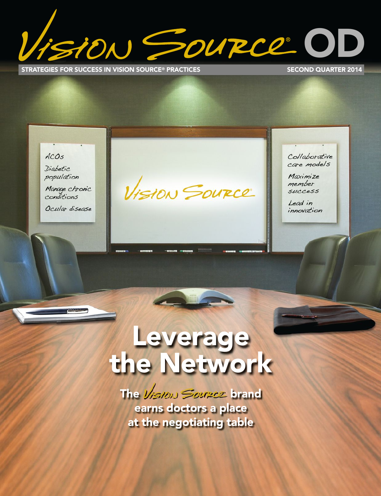N SOURCE O

**STRATEGIES FOR SUCCESS IN VISION SOURCE® PRACTICES SECO**

**SECOND QUARTER 2014** 

ACOS

Diabetic population

Manage chronic conditions

Ocular disease

VISION SOURCE

Collaborative care models

Maximize member **SUCCESS** 

Lead in innovation

# **Leverage the Network**

**The Vision Source brand earns doctors a place at the negotiating table**